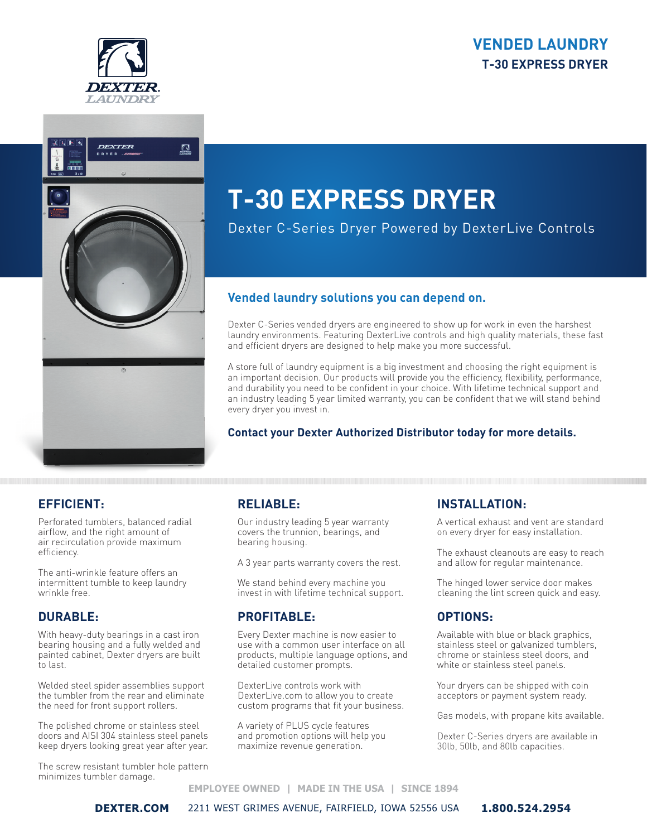# **VENDED LAUNDRY T-30 EXPRESS DRYER**





# **T-30 EXPRESS DRYER**

Dexter C-Series Dryer Powered by DexterLive Controls

#### **Vended laundry solutions you can depend on.**

Dexter C-Series vended dryers are engineered to show up for work in even the harshest laundry environments. Featuring DexterLive controls and high quality materials, these fast and efficient dryers are designed to help make you more successful.

A store full of laundry equipment is a big investment and choosing the right equipment is an important decision. Our products will provide you the efficiency, flexibility, performance, and durability you need to be confident in your choice. With lifetime technical support and an industry leading 5 year limited warranty, you can be confident that we will stand behind every dryer you invest in.

#### **Contact your Dexter Authorized Distributor today for more details.**

### **EFFICIENT:**

Perforated tumblers, balanced radial airflow, and the right amount of air recirculation provide maximum efficiency.

The anti-wrinkle feature offers an intermittent tumble to keep laundry wrinkle free.

#### **DURABLE:**

With heavy-duty bearings in a cast iron bearing housing and a fully welded and painted cabinet, Dexter dryers are built to last.

Welded steel spider assemblies support the tumbler from the rear and eliminate the need for front support rollers.

The polished chrome or stainless steel doors and AISI 304 stainless steel panels keep dryers looking great year after year.

The screw resistant tumbler hole pattern minimizes tumbler damage.

### **RELIABLE:**

Our industry leading 5 year warranty covers the trunnion, bearings, and bearing housing.

A 3 year parts warranty covers the rest.

We stand behind every machine you invest in with lifetime technical support.

### **PROFITABLE:**

Every Dexter machine is now easier to use with a common user interface on all products, multiple language options, and detailed customer prompts.

DexterLive controls work with DexterLive.com to allow you to create custom programs that fit your business.

A variety of PLUS cycle features and promotion options will help you maximize revenue generation.

### **INSTALLATION:**

A vertical exhaust and vent are standard on every dryer for easy installation.

The exhaust cleanouts are easy to reach and allow for regular maintenance.

The hinged lower service door makes cleaning the lint screen quick and easy.

## **OPTIONS:**

Available with blue or black graphics, stainless steel or galvanized tumblers, chrome or stainless steel doors, and white or stainless steel panels.

Your dryers can be shipped with coin acceptors or payment system ready.

Gas models, with propane kits available.

Dexter C-Series dryers are available in 30lb, 50lb, and 80lb capacities.

#### **EMPLOYEE OWNED | MADE IN THE USA | SINCE 1894**

**DEXTER.COM** 2211 WEST GRIMES AVENUE, FAIRFIELD, IOWA 52556 USA **1.800.524.2954**